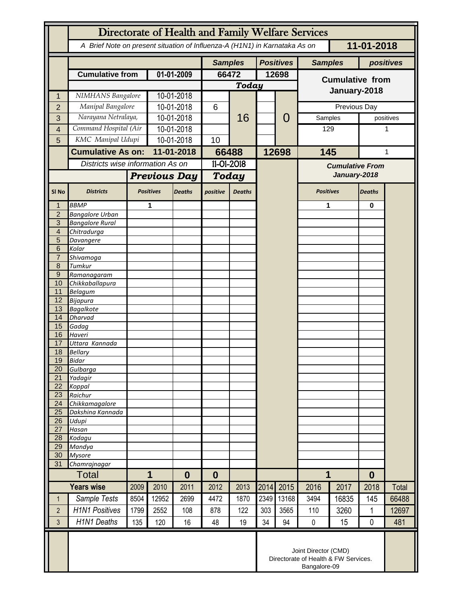|                       | Directorate of Health and Family Welfare Services                                        |                   |                     |                                                                              |                  |               |                  |                |                        |              |                  |           |  |
|-----------------------|------------------------------------------------------------------------------------------|-------------------|---------------------|------------------------------------------------------------------------------|------------------|---------------|------------------|----------------|------------------------|--------------|------------------|-----------|--|
|                       | A Brief Note on present situation of Influenza-A (H1N1) in Karnataka As on<br>11-01-2018 |                   |                     |                                                                              |                  |               |                  |                |                        |              |                  |           |  |
|                       |                                                                                          |                   |                     | <b>Samples</b>                                                               |                  |               | <b>Positives</b> | <b>Samples</b> |                        |              | positives        |           |  |
|                       | <b>Cumulative from</b>                                                                   |                   | 01-01-2009          |                                                                              | 66472            |               |                  | 12698          | <b>Cumulative from</b> |              |                  |           |  |
|                       |                                                                                          |                   |                     |                                                                              | <b>Today</b>     |               |                  | January-2018   |                        |              |                  |           |  |
| 1                     | NIMHANS Bangalore                                                                        |                   | 10-01-2018          |                                                                              |                  | 16            |                  |                |                        |              |                  |           |  |
| $\overline{2}$        | Manipal Bangalore                                                                        |                   | 10-01-2018          |                                                                              | 6                |               |                  | 0              |                        | Previous Day |                  |           |  |
| 3                     | Narayana Netralaya,                                                                      |                   | 10-01-2018          |                                                                              |                  |               |                  |                | Samples                |              |                  | positives |  |
| 4                     | Command Hospital (Air                                                                    |                   | 10-01-2018          |                                                                              | 10               |               |                  |                | 129                    |              | 1                |           |  |
| 5                     |                                                                                          | KMC Manipal Udupi |                     | $10-01-2018$                                                                 |                  |               |                  |                |                        |              |                  |           |  |
|                       | <b>Cumulative As on:</b><br>Districts wise information As on                             |                   | 11-01-2018          |                                                                              | 66488            |               | 12698            |                | 145                    |              | 1                |           |  |
|                       |                                                                                          |                   |                     |                                                                              | $11 - 01 - 2018$ |               |                  |                | <b>Cumulative From</b> |              |                  |           |  |
|                       |                                                                                          |                   | <b>Previous Day</b> |                                                                              | <b>Today</b>     |               |                  |                | January-2018           |              |                  |           |  |
| SI <sub>No</sub>      | <b>Districts</b>                                                                         |                   | <b>Positives</b>    | <b>Deaths</b>                                                                | positive         | <b>Deaths</b> |                  |                | <b>Positives</b>       |              | <b>Deaths</b>    |           |  |
| 1                     | <b>BBMP</b>                                                                              |                   | 1                   |                                                                              |                  |               |                  |                | 1                      |              | 0                |           |  |
| $\overline{2}$<br>3   | <b>Bangalore Urban</b><br><b>Bangalore Rural</b>                                         |                   |                     |                                                                              |                  |               |                  |                |                        |              |                  |           |  |
| $\overline{4}$        | Chitradurga                                                                              |                   |                     |                                                                              |                  |               |                  |                |                        |              |                  |           |  |
| 5                     | Davangere                                                                                |                   |                     |                                                                              |                  |               |                  |                |                        |              |                  |           |  |
| 6<br>$\overline{7}$   | Kolar<br>Shivamoga                                                                       |                   |                     |                                                                              |                  |               |                  |                |                        |              |                  |           |  |
| 8                     | Tumkur                                                                                   |                   |                     |                                                                              |                  |               |                  |                |                        |              |                  |           |  |
| $\overline{9}$        | Ramanagaram                                                                              |                   |                     |                                                                              |                  |               |                  |                |                        |              |                  |           |  |
| 10                    | Chikkaballapura                                                                          |                   |                     |                                                                              |                  |               |                  |                |                        |              |                  |           |  |
| 11<br>12              | <b>Belagum</b><br>Bijapura                                                               |                   |                     |                                                                              |                  |               |                  |                |                        |              |                  |           |  |
| 13                    | <b>Bagalkote</b>                                                                         |                   |                     |                                                                              |                  |               |                  |                |                        |              |                  |           |  |
| 14                    | <b>Dharvad</b>                                                                           |                   |                     |                                                                              |                  |               |                  |                |                        |              |                  |           |  |
| 15                    | Gadag                                                                                    |                   |                     |                                                                              |                  |               |                  |                |                        |              |                  |           |  |
| 16<br>17              | Haveri<br>Uttara Kannada                                                                 |                   |                     |                                                                              |                  |               |                  |                |                        |              |                  |           |  |
| 18                    | <b>Bellary</b>                                                                           |                   |                     |                                                                              |                  |               |                  |                |                        |              |                  |           |  |
| 19                    | <b>Bidar</b>                                                                             |                   |                     |                                                                              |                  |               |                  |                |                        |              |                  |           |  |
| 20<br>$\overline{21}$ | Gulbarga<br>Yadagir                                                                      |                   |                     |                                                                              |                  |               |                  |                |                        |              |                  |           |  |
| 22                    | Koppal                                                                                   |                   |                     |                                                                              |                  |               |                  |                |                        |              |                  |           |  |
| 23                    | Raichur                                                                                  |                   |                     |                                                                              |                  |               |                  |                |                        |              |                  |           |  |
| 24                    | Chikkamagalore                                                                           |                   |                     |                                                                              |                  |               |                  |                |                        |              |                  |           |  |
| 25<br>26              | Dakshina Kannada<br>Udupi                                                                |                   |                     |                                                                              |                  |               |                  |                |                        |              |                  |           |  |
| 27                    | Hasan                                                                                    |                   |                     |                                                                              |                  |               |                  |                |                        |              |                  |           |  |
| 28                    | Kodagu                                                                                   |                   |                     |                                                                              |                  |               |                  |                |                        |              |                  |           |  |
| 29<br>30              | Mandya                                                                                   |                   |                     |                                                                              |                  |               |                  |                |                        |              |                  |           |  |
| 31                    | <b>Mysore</b><br>Chamrajnagar                                                            |                   |                     |                                                                              |                  |               |                  |                |                        |              |                  |           |  |
| <b>Total</b>          |                                                                                          | 1<br>$\bf{0}$     |                     |                                                                              | $\boldsymbol{0}$ |               |                  |                | 1                      |              | $\boldsymbol{0}$ |           |  |
| <b>Years wise</b>     |                                                                                          | 2009              | 2010                | 2011                                                                         | 2012             | 2013          | 2014             | 2015           | 2016                   | 2017         | 2018             | Total     |  |
| $\mathbf 1$           | Sample Tests                                                                             | 8504              | 12952               | 2699                                                                         | 4472             | 1870          | 2349             | 13168          | 3494                   | 16835        | 145              | 66488     |  |
| $\overline{2}$        | <b>H1N1 Positives</b>                                                                    | 1799              | 2552                | 108                                                                          | 878              | 122           | 303              | 3565           | 110                    | 3260         | $\mathbf{1}$     | 12697     |  |
| 3                     | <b>H1N1 Deaths</b>                                                                       | 135               | 120                 | 16                                                                           | 48               | 19            | 34               | 94             | $\mathbf 0$            | 15           | 0                | 481       |  |
|                       |                                                                                          |                   |                     | Joint Director (CMD)<br>Directorate of Health & FW Services.<br>Bangalore-09 |                  |               |                  |                |                        |              |                  |           |  |